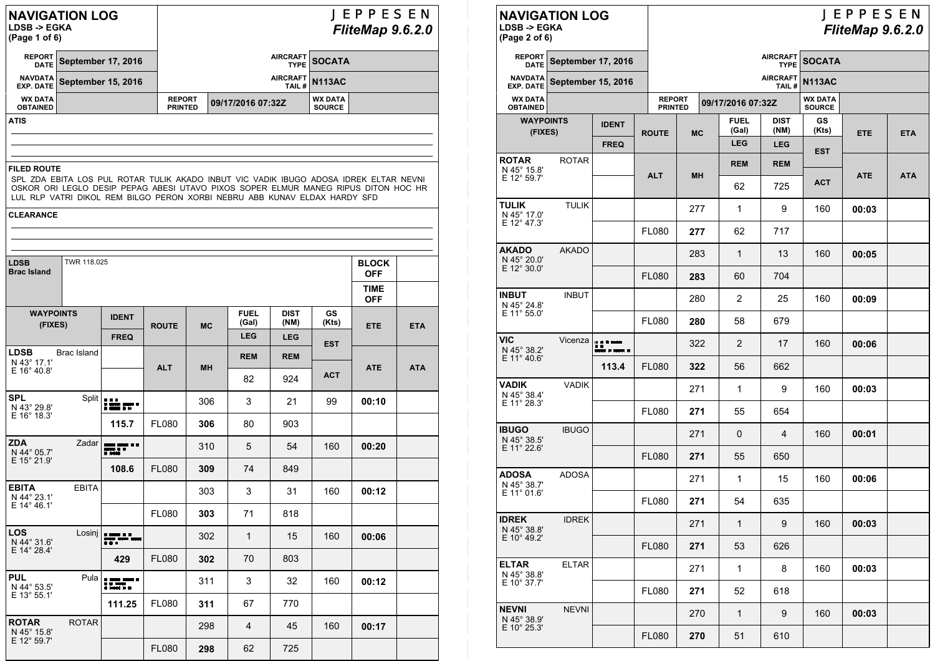| <b>NAVIGATION LOG</b> |  |
|-----------------------|--|
|                       |  |

**LDSB -> EGKA**

| (Page 1 of 6) |  |  |
|---------------|--|--|
|---------------|--|--|

## JEPPESEN *FliteMap 9.6.2.0*

|                                   | REPORT September 17, 2016  |                                 | AIRCRAFT SOCATA   |                                 |  |  |
|-----------------------------------|----------------------------|---------------------------------|-------------------|---------------------------------|--|--|
|                                   | NAVDATA September 15, 2016 |                                 | AIRCRAFT N113AC   |                                 |  |  |
| <b>WX DATA</b><br><b>OBTAINED</b> |                            | <b>REPORT</b><br><b>PRINTED</b> | 09/17/2016 07:32Z | <b>WX DATA</b><br><b>SOURCE</b> |  |  |

**ATIS**

#### **FILED ROUTE**

SPL ZDA EBITA LOS PUL ROTAR TULIK AKADO INBUT VIC VADIK IBUGO ADOSA IDREK ELTAR NEVNI OSKOR ORI LEGLO DESIP PEPAG ABESI UTAVO PIXOS SOPER ELMUR MANEG RIPUS DITON HOC HR LUL RLP VATRI DIKOL REM BILGO PERON XORBI NEBRU ABB KUNAV ELDAX HARDY SFD

|  | <b>CLEARANCE</b> |  |
|--|------------------|--|
|  |                  |  |

| <b>LDSB</b><br><b>Brac Island</b> | TWR 118,025  |                                            |              |           |                      |                     |                    | <b>BLOCK</b><br><b>OFF</b> |            |
|-----------------------------------|--------------|--------------------------------------------|--------------|-----------|----------------------|---------------------|--------------------|----------------------------|------------|
|                                   |              |                                            |              |           |                      |                     |                    | <b>TIME</b><br><b>OFF</b>  |            |
| <b>WAYPOINTS</b><br>(FIXES)       |              | <b>IDENT</b>                               | <b>ROUTE</b> | <b>MC</b> | <b>FUEL</b><br>(Gal) | <b>DIST</b><br>(NM) | <b>GS</b><br>(Kts) | <b>ETE</b>                 | <b>ETA</b> |
|                                   |              | <b>FREQ</b>                                |              |           | <b>LEG</b>           | <b>LEG</b>          | <b>EST</b>         |                            |            |
| <b>LDSB</b><br>N 43° 17.1'        | Brac Island  |                                            |              |           | <b>REM</b>           | <b>REM</b>          |                    |                            |            |
| E 16° 40.8'                       |              |                                            | <b>ALT</b>   | <b>MH</b> | 82                   | 924                 | <b>ACT</b>         | <b>ATE</b>                 | <b>ATA</b> |
| <b>SPL</b><br>N 43° 29.8'         |              | $\frac{\text{Split}}{\text{min}}$          |              | 306       | 3                    | 21                  | 99                 | 00:10                      |            |
| E 16° 18.3'                       |              | 115.7                                      | <b>FL080</b> | 306       | 80                   | 903                 |                    |                            |            |
| <b>ZDA</b><br>N 44° 05.7'         | Zadar        | <b>BELLER LE</b><br>mr                     |              | 310       | 5                    | 54                  | 160                | 00:20                      |            |
| E 15° 21.9'                       |              | 108.6                                      | <b>FL080</b> | 309       | 74                   | 849                 |                    |                            |            |
| <b>EBITA</b><br>N 44° 23.1'       | <b>EBITA</b> |                                            |              | 303       | 3                    | 31                  | 160                | 00:12                      |            |
| E 14° 46.1'                       |              |                                            | <b>FL080</b> | 303       | 71                   | 818                 |                    |                            |            |
| <b>LOS</b><br>N 44° 31.6'         | Losinj       | <b><i><b>B</b></i> BRANCH B B</b><br>n n n |              | 302       | $\mathbf{1}$         | 15                  | 160                | 00:06                      |            |
| E 14° 28.4'                       |              | 429                                        | <b>FL080</b> | 302       | 70                   | 803                 |                    |                            |            |
| <b>PUL</b><br>N 44° 53.5'         | Pula         | a kana kana a<br>Kanangan                  |              | 311       | 3                    | 32                  | 160                | 00:12                      |            |
| E 13° 55.1'                       |              | 111.25                                     | <b>FL080</b> | 311       | 67                   | 770                 |                    |                            |            |
| <b>ROTAR</b><br>N 45° 15.8'       | <b>ROTAR</b> |                                            |              | 298       | 4                    | 45                  | 160                | 00:17                      |            |
| E 12° 59.7'                       |              |                                            | <b>FL080</b> | 298       | 62                   | 725                 |                    |                            |            |

#### **NAVIGATION LOG**JEPPESEN **LDSB -> EGKA***FliteMap 9.6.2.0*  **(Page 2 of 6) REPORTAIRCRAFT September 17, 2016 SOCATA DATE TYPENAVDATAAIRCRAFT September 15, 2016 N113AC EXP. DATE TAIL #WX DATA 09/17/2016 07:32Z WX DATA SOURCE REPORT PRINTED OBTAINEDFUELDISTGSWAYPOINTS IDENT(Gal) (NM) (Kts) (FIXES) ROUTEMCETEETAFREQLEGLEGESTROTAR** ROTAR **REMREM**N 45° 15.8' E 12° 59.7' **ALTMHATEATAACT**62725**TULIK** TULIK 9 **00:03**2771160N 45° 17.0' E 12° 47.3' FL080**277**62717**AKADO** AKADO 2831 13160 **00:05**N 45° 20.0' E 12° 30.0' FL080**283**60704**INBUT** INBUT 2802 25160 **00:09**N 45° 24.8' E 11° 55.0' FL080**280**58679**VIC**Vicenza | . . . . . 2322 17160 **00:06**N 45° 38.2'**Alexander**  E 11° 40.6'**113.4** FL080 **322**56662**VADIK** VADIK 2711 9160 **00:03**N 45° 38.4' E 11° 28.3' FL080**271**55654**IBUGO** IBUGO 2710 4160 **00:01**N 45° 38.5' E 11° 22.6' FL080**271**55650**ADOSA** ADOSA 2711 15160 **00:06**N 45° 38.7' E 11° 01.6' FL080**271**54635**IDREK** IDREK 2711 9160 **00:03**N 45° 38.8' E 10° 49.2' FL080**271**53626**ELTAR** ELTAR 82711160 **00:03**N 45° 38.8' E 10° 37.7' **271**618FL080 52 **NEVNI** NEVNI 2701 9160 **00:03**N 45° 38.9' E 10° 25.3' FL080**270**51610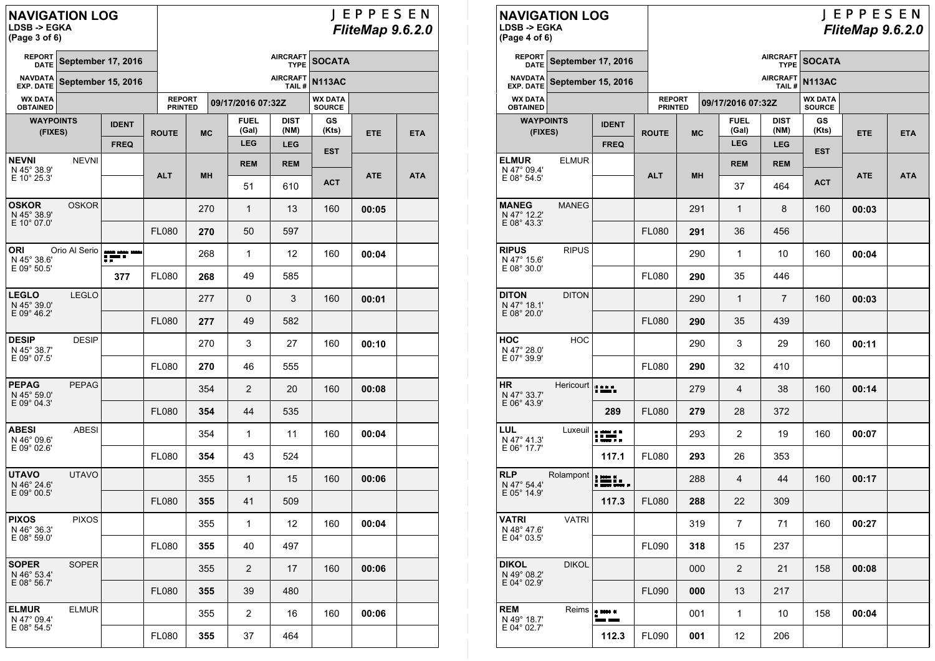# **NAVIGATION LOG LDSB -> EGKA (Page 3 of 6)**

## JEPPESEN *FliteMap 9.6.2.0*

| <b>REPORT</b><br><b>DATE</b>       |                           | <b>AIRCRAFT</b><br><b>September 17, 2016</b><br><b>TYPE</b> |                                 |                          |  |                      |                     | <b>SOCATA</b>                   |            |            |  |
|------------------------------------|---------------------------|-------------------------------------------------------------|---------------------------------|--------------------------|--|----------------------|---------------------|---------------------------------|------------|------------|--|
| <b>NAVDATA</b><br><b>EXP. DATE</b> | <b>September 15, 2016</b> |                                                             |                                 | <b>AIRCRAFT</b><br>TAIL# |  |                      |                     |                                 |            |            |  |
| <b>WX DATA</b><br><b>OBTAINED</b>  |                           |                                                             | <b>REPORT</b><br><b>PRINTED</b> |                          |  | 09/17/2016 07:32Z    |                     | <b>WX DATA</b><br><b>SOURCE</b> |            |            |  |
| <b>WAYPOINTS</b><br>(FIXES)        |                           | <b>IDENT</b>                                                | <b>ROUTE</b>                    | <b>MC</b>                |  | <b>FUEL</b><br>(Gal) | <b>DIST</b><br>(NM) | GS<br>(Kts)                     | <b>ETE</b> | <b>ETA</b> |  |
|                                    |                           | <b>FREQ</b>                                                 |                                 |                          |  | <b>LEG</b>           | <b>LEG</b>          | <b>EST</b>                      |            |            |  |
| NEVNI<br>N 45° 38.9'               | <b>NEVNI</b>              |                                                             | <b>ALT</b>                      | MН                       |  | <b>REM</b>           | <b>REM</b>          |                                 | <b>ATE</b> | <b>ATA</b> |  |
| $E$ 10 $^{\circ}$ 25.3'            |                           |                                                             |                                 |                          |  | 51                   | 610                 | АСТ                             |            |            |  |
| OSKOR<br>N 45° 38.9'               | <b>OSKOR</b>              |                                                             |                                 | 270                      |  | 1                    | 13                  | 160                             | 00:05      |            |  |
| E 10° 07.0'                        |                           |                                                             | <b>FL080</b>                    | 270                      |  | 50                   | 597                 |                                 |            |            |  |
| ORI<br>N 45° 38.6'                 | Orio Al Serio             | ang ang pas<br>Tingg                                        |                                 | 268                      |  | 1                    | 12                  | 160                             | 00:04      |            |  |
| E 09° 50.5'                        |                           | 377                                                         | <b>FL080</b>                    | 268                      |  | 49                   | 585                 |                                 |            |            |  |
| LEGLO<br>N 45° 39.0'               | <b>LEGLO</b>              |                                                             |                                 | 277                      |  | 0                    | 3                   | 160                             | 00:01      |            |  |
| E 09° 46.2'                        |                           |                                                             | <b>FL080</b>                    | 277                      |  | 49                   | 582                 |                                 |            |            |  |
| <b>DESIP</b><br>N 45° 38.7'        | <b>DESIP</b>              |                                                             |                                 | 270                      |  | 3                    | 27                  | 160                             | 00:10      |            |  |
| E 09° 07.5'                        |                           |                                                             | <b>FL080</b>                    | 270                      |  | 46                   | 555                 |                                 |            |            |  |
| PEPAG<br>N 45° 59.0'               | <b>PEPAG</b>              |                                                             |                                 | 354                      |  | 2                    | 20                  | 160                             | 00:08      |            |  |
| E 09° 04.3'                        |                           |                                                             | <b>FL080</b>                    | 354                      |  | 44                   | 535                 |                                 |            |            |  |
| ABESI<br>N 46 $^{\circ}$ 09.6'     | ABESI                     |                                                             |                                 | 354                      |  | 1                    | 11                  | 160                             | 00:04      |            |  |
| E 09° 02.6'                        |                           |                                                             | <b>FL080</b>                    | 354                      |  | 43                   | 524                 |                                 |            |            |  |
| <b>UTAVO</b><br>N 46° 24.6'        | <b>UTAVO</b>              |                                                             |                                 | 355                      |  | 1                    | 15                  | 160                             | 00:06      |            |  |
| E 09° 00.5'                        |                           |                                                             | <b>FL080</b>                    | 355                      |  | 41                   | 509                 |                                 |            |            |  |
| PIXOS<br>N 46° 36.3'               | <b>PIXOS</b>              |                                                             |                                 | 355                      |  | 1                    | 12                  | 160                             | 00:04      |            |  |
| E 08° 59.0'                        |                           |                                                             | <b>FL080</b>                    | 355                      |  | 40                   | 497                 |                                 |            |            |  |
| SOPER<br>N 46° 53.4'               | <b>SOPER</b>              |                                                             |                                 | 355                      |  | 2                    | 17                  | 160                             | 00:06      |            |  |
| E 08° 56.7'                        |                           |                                                             | <b>FL080</b>                    | 355                      |  | 39                   | 480                 |                                 |            |            |  |
| <b>ELMUR</b><br>N 47° 09.4'        | <b>ELMUR</b>              |                                                             |                                 | 355                      |  | 2                    | 16                  | 160                             | 00:06      |            |  |
| E 08° 54.5'                        |                           |                                                             | <b>FL080</b>                    | 355                      |  | 37                   | 464                 |                                 |            |            |  |
|                                    |                           |                                                             |                                 |                          |  |                      |                     |                                 |            |            |  |

| <b>NAVIGATION LOG</b><br><b>LDSB -&gt; EGKA</b><br>(Page 4 of 6) |              |                           |                                 |           |    |                      | JEPPESEN<br>FliteMap 9.6.2.0   |                                 |            |            |
|------------------------------------------------------------------|--------------|---------------------------|---------------------------------|-----------|----|----------------------|--------------------------------|---------------------------------|------------|------------|
| <b>REPORT</b><br><b>DATE</b>                                     |              | <b>September 17, 2016</b> |                                 |           |    |                      | <b>AIRCRAFT</b><br><b>TYPE</b> | <b>SOCATA</b>                   |            |            |
| <b>NAVDATA</b><br><b>EXP. DATE</b>                               |              | <b>September 15, 2016</b> |                                 |           |    |                      | <b>AIRCRAFT</b><br>TAIL#       | <b>N113AC</b>                   |            |            |
| <b>WX DATA</b><br><b>OBTAINED</b>                                |              |                           | <b>REPORT</b><br><b>PRINTED</b> |           |    | 09/17/2016 07:32Z    |                                | <b>WX DATA</b><br><b>SOURCE</b> |            |            |
| <b>WAYPOINTS</b><br>(FIXES)                                      |              | <b>IDENT</b>              | <b>ROUTE</b>                    | <b>MC</b> |    | <b>FUEL</b><br>(Gal) | <b>DIST</b><br>(NM)            | GS<br>(Kts)                     | <b>ETE</b> | <b>ETA</b> |
|                                                                  |              | <b>FREQ</b>               |                                 |           |    | <b>LEG</b>           | <b>LEG</b>                     | <b>EST</b>                      |            |            |
| <b>ELMUR</b><br>N 47° 09.4'<br>E 08° 54.5'                       | <b>ELMUR</b> |                           | <b>ALT</b>                      | MН        |    | <b>REM</b>           | <b>REM</b>                     |                                 | <b>ATE</b> | <b>ATA</b> |
|                                                                  |              |                           |                                 |           |    | 37                   | 464                            | <b>ACT</b>                      |            |            |
| <b>MANEG</b><br>N 47° 12.2'                                      | <b>MANEG</b> |                           |                                 | 291       |    | 1                    | 8                              | 160                             | 00:03      |            |
| E 08° 43.3'                                                      |              |                           | <b>FL080</b>                    | 291       |    | 36                   | 456                            |                                 |            |            |
| <b>RIPUS</b><br>N 47° 15.6'                                      | RIPUS        |                           |                                 | 290       |    | 1                    | 10                             | 160                             | 00:04      |            |
| E 08° 30.0'                                                      |              |                           | <b>FL080</b>                    | 290       |    | 35                   | 446                            |                                 |            |            |
| <b>DITON</b><br>N 47° 18.1'                                      | <b>DITON</b> |                           |                                 | 290       |    | 1                    | 7                              | 160                             | 00:03      |            |
| E 08° 20.0'                                                      |              |                           | <b>FL080</b><br>290             |           | 35 | 439                  |                                |                                 |            |            |
| HOC<br>N 47° 28.0'                                               | <b>HOC</b>   |                           |                                 | 290       |    | 3                    | 29                             | 160                             | 00:11      |            |
| E 07° 39.9'                                                      |              |                           | <b>FL080</b>                    | 290       |    | 32                   | 410                            |                                 |            |            |
| <b>HR</b><br>N 47° 33.7'                                         | Hericourt    | 1155                      |                                 | 279       |    | 4                    | 38                             | 160                             | 00:14      |            |
| E 06° 43.9'                                                      |              | 289                       | <b>FL080</b>                    | 279       |    | 28                   | 372                            |                                 |            |            |
| LUL<br>N 47° 41.3'                                               | Luxeuil      | <b>SERT</b>               |                                 | 293       |    | 2                    | 19                             | 160                             | 00:07      |            |
| E 06° 17.7'                                                      |              | 117.1                     | <b>FL080</b>                    | 293       |    | 26                   | 353                            |                                 |            |            |
| <b>RLP</b><br>N 47° 54.4'                                        | Rolampont    | <b>: 200</b>              |                                 | 288       |    | 4                    | 44                             | 160                             | 00:17      |            |
| E 05° 14.9'                                                      |              | 117.3                     | <b>FL080</b>                    | 288       |    | 22                   | 309                            |                                 |            |            |
| VATRI<br>N 48° 47.6'                                             | <b>VATRI</b> |                           |                                 | 319       |    | $\overline{7}$       | 71                             | 160                             | 00:27      |            |
| E 04° 03.5'                                                      |              |                           | FL090                           | 318       |    | 15                   | 237                            |                                 |            |            |
| <b>DIKOL</b><br>N 49° 08.2'                                      | <b>DIKOL</b> |                           |                                 | 000       |    | $\overline{2}$       | 21                             | 158                             | 00:08      |            |
| E 04° 02.9'                                                      |              |                           | FL090                           | 000       |    | 13                   | 217                            |                                 |            |            |
| <b>REM</b><br>N 49° 18.7'                                        | Reims        | $\alpha$ and $\alpha$     |                                 | 001       |    | 1                    | 10                             | 158                             | 00:04      |            |
| E 04° 02.7'                                                      |              | 112.3                     | FL090                           | 001       |    | 12                   | 206                            |                                 |            |            |